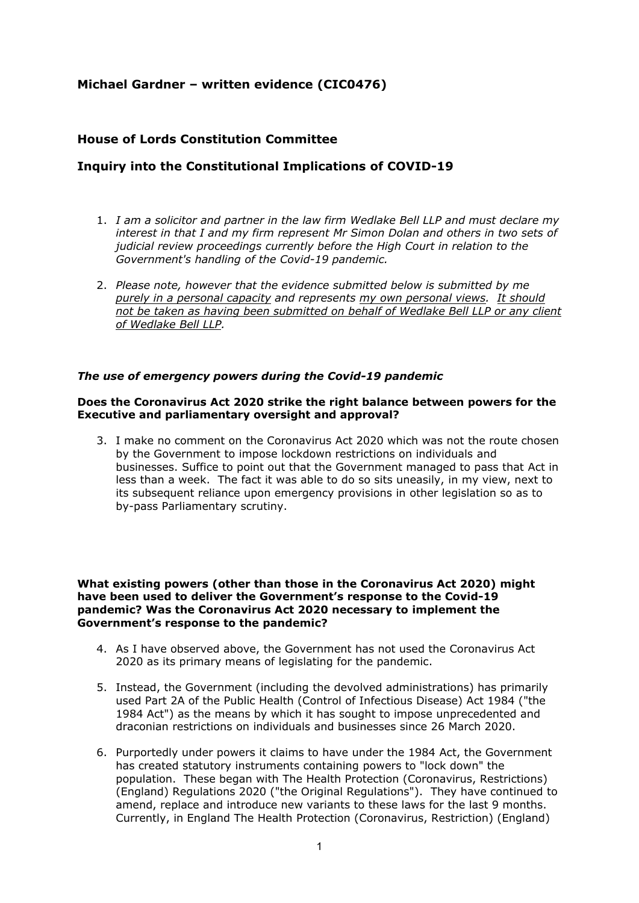# **Michael Gardner – written evidence (CIC0476)**

# **House of Lords Constitution Committee**

# **Inquiry into the Constitutional Implications of COVID-19**

- 1. *I am a solicitor and partner in the law firm Wedlake Bell LLP and must declare my interest in that I and my firm represent Mr Simon Dolan and others in two sets of judicial review proceedings currently before the High Court in relation to the Government's handling of the Covid-19 pandemic.*
- 2. *Please note, however that the evidence submitted below is submitted by me purely in a personal capacity and represents my own personal views. It should not be taken as having been submitted on behalf of Wedlake Bell LLP or any client of Wedlake Bell LLP.*

# *The use of emergency powers during the Covid-19 pandemic*

# **Does the Coronavirus Act 2020 strike the right balance between powers for the Executive and parliamentary oversight and approval?**

3. I make no comment on the Coronavirus Act 2020 which was not the route chosen by the Government to impose lockdown restrictions on individuals and businesses. Suffice to point out that the Government managed to pass that Act in less than a week. The fact it was able to do so sits uneasily, in my view, next to its subsequent reliance upon emergency provisions in other legislation so as to by-pass Parliamentary scrutiny.

**What existing powers (other than those in the Coronavirus Act 2020) might have been used to deliver the Government's response to the Covid-19 pandemic? Was the Coronavirus Act 2020 necessary to implement the Government's response to the pandemic?**

- 4. As I have observed above, the Government has not used the Coronavirus Act 2020 as its primary means of legislating for the pandemic.
- 5. Instead, the Government (including the devolved administrations) has primarily used Part 2A of the Public Health (Control of Infectious Disease) Act 1984 ("the 1984 Act") as the means by which it has sought to impose unprecedented and draconian restrictions on individuals and businesses since 26 March 2020.
- 6. Purportedly under powers it claims to have under the 1984 Act, the Government has created statutory instruments containing powers to "lock down" the population. These began with The Health Protection (Coronavirus, Restrictions) (England) Regulations 2020 ("the Original Regulations"). They have continued to amend, replace and introduce new variants to these laws for the last 9 months. Currently, in England The Health Protection (Coronavirus, Restriction) (England)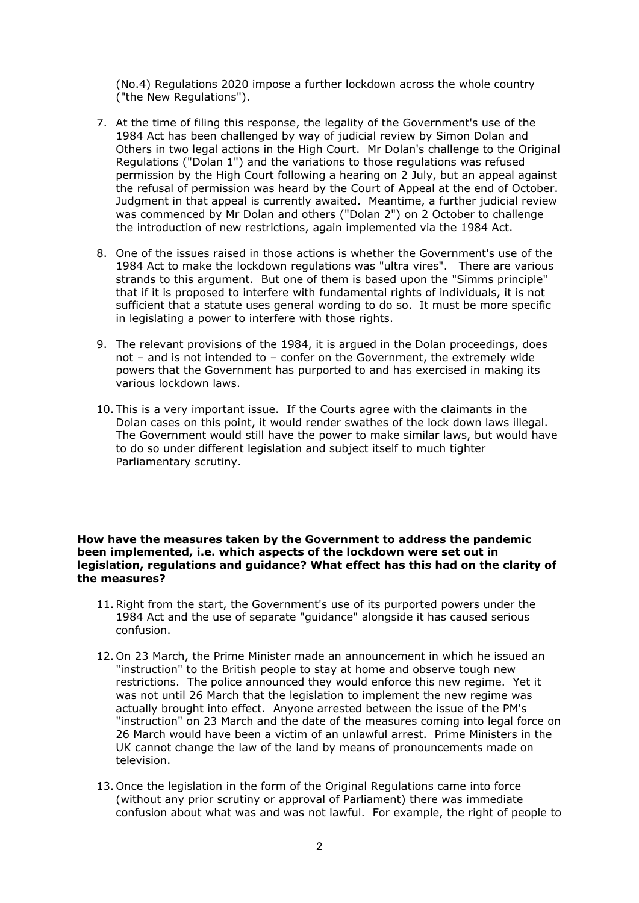(No.4) Regulations 2020 impose a further lockdown across the whole country ("the New Regulations").

- 7. At the time of filing this response, the legality of the Government's use of the 1984 Act has been challenged by way of judicial review by Simon Dolan and Others in two legal actions in the High Court. Mr Dolan's challenge to the Original Regulations ("Dolan 1") and the variations to those regulations was refused permission by the High Court following a hearing on 2 July, but an appeal against the refusal of permission was heard by the Court of Appeal at the end of October. Judgment in that appeal is currently awaited. Meantime, a further judicial review was commenced by Mr Dolan and others ("Dolan 2") on 2 October to challenge the introduction of new restrictions, again implemented via the 1984 Act.
- 8. One of the issues raised in those actions is whether the Government's use of the 1984 Act to make the lockdown regulations was "ultra vires". There are various strands to this argument. But one of them is based upon the "Simms principle" that if it is proposed to interfere with fundamental rights of individuals, it is not sufficient that a statute uses general wording to do so. It must be more specific in legislating a power to interfere with those rights.
- 9. The relevant provisions of the 1984, it is argued in the Dolan proceedings, does not – and is not intended to – confer on the Government, the extremely wide powers that the Government has purported to and has exercised in making its various lockdown laws.
- 10. This is a very important issue. If the Courts agree with the claimants in the Dolan cases on this point, it would render swathes of the lock down laws illegal. The Government would still have the power to make similar laws, but would have to do so under different legislation and subject itself to much tighter Parliamentary scrutiny.

### **How have the measures taken by the Government to address the pandemic been implemented, i.e. which aspects of the lockdown were set out in legislation, regulations and guidance? What effect has this had on the clarity of the measures?**

- 11.Right from the start, the Government's use of its purported powers under the 1984 Act and the use of separate "guidance" alongside it has caused serious confusion.
- 12. On 23 March, the Prime Minister made an announcement in which he issued an "instruction" to the British people to stay at home and observe tough new restrictions. The police announced they would enforce this new regime. Yet it was not until 26 March that the legislation to implement the new regime was actually brought into effect. Anyone arrested between the issue of the PM's "instruction" on 23 March and the date of the measures coming into legal force on 26 March would have been a victim of an unlawful arrest. Prime Ministers in the UK cannot change the law of the land by means of pronouncements made on television.
- 13. Once the legislation in the form of the Original Regulations came into force (without any prior scrutiny or approval of Parliament) there was immediate confusion about what was and was not lawful. For example, the right of people to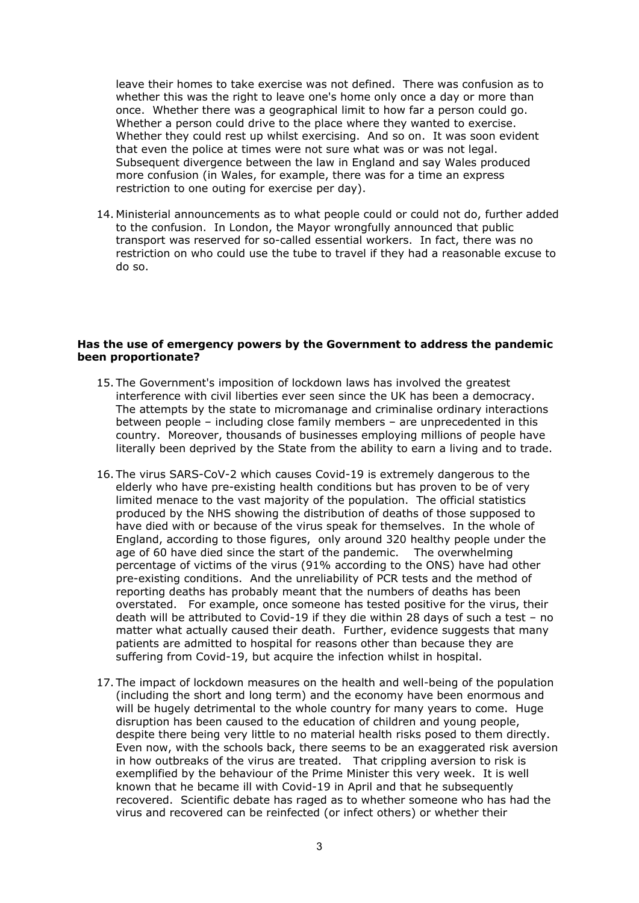leave their homes to take exercise was not defined. There was confusion as to whether this was the right to leave one's home only once a day or more than once. Whether there was a geographical limit to how far a person could go. Whether a person could drive to the place where they wanted to exercise. Whether they could rest up whilst exercising. And so on. It was soon evident that even the police at times were not sure what was or was not legal. Subsequent divergence between the law in England and say Wales produced more confusion (in Wales, for example, there was for a time an express restriction to one outing for exercise per day).

14. Ministerial announcements as to what people could or could not do, further added to the confusion. In London, the Mayor wrongfully announced that public transport was reserved for so-called essential workers. In fact, there was no restriction on who could use the tube to travel if they had a reasonable excuse to do so.

#### **Has the use of emergency powers by the Government to address the pandemic been proportionate?**

- 15. The Government's imposition of lockdown laws has involved the greatest interference with civil liberties ever seen since the UK has been a democracy. The attempts by the state to micromanage and criminalise ordinary interactions between people – including close family members – are unprecedented in this country. Moreover, thousands of businesses employing millions of people have literally been deprived by the State from the ability to earn a living and to trade.
- 16. The virus SARS-CoV-2 which causes Covid-19 is extremely dangerous to the elderly who have pre-existing health conditions but has proven to be of very limited menace to the vast majority of the population. The official statistics produced by the NHS showing the distribution of deaths of those supposed to have died with or because of the virus speak for themselves. In the whole of England, according to those figures, only around 320 healthy people under the age of 60 have died since the start of the pandemic. The overwhelming percentage of victims of the virus (91% according to the ONS) have had other pre-existing conditions. And the unreliability of PCR tests and the method of reporting deaths has probably meant that the numbers of deaths has been overstated. For example, once someone has tested positive for the virus, their death will be attributed to Covid-19 if they die within 28 days of such a test – no matter what actually caused their death. Further, evidence suggests that many patients are admitted to hospital for reasons other than because they are suffering from Covid-19, but acquire the infection whilst in hospital.
- 17. The impact of lockdown measures on the health and well-being of the population (including the short and long term) and the economy have been enormous and will be hugely detrimental to the whole country for many years to come. Huge disruption has been caused to the education of children and young people, despite there being very little to no material health risks posed to them directly. Even now, with the schools back, there seems to be an exaggerated risk aversion in how outbreaks of the virus are treated. That crippling aversion to risk is exemplified by the behaviour of the Prime Minister this very week. It is well known that he became ill with Covid-19 in April and that he subsequently recovered. Scientific debate has raged as to whether someone who has had the virus and recovered can be reinfected (or infect others) or whether their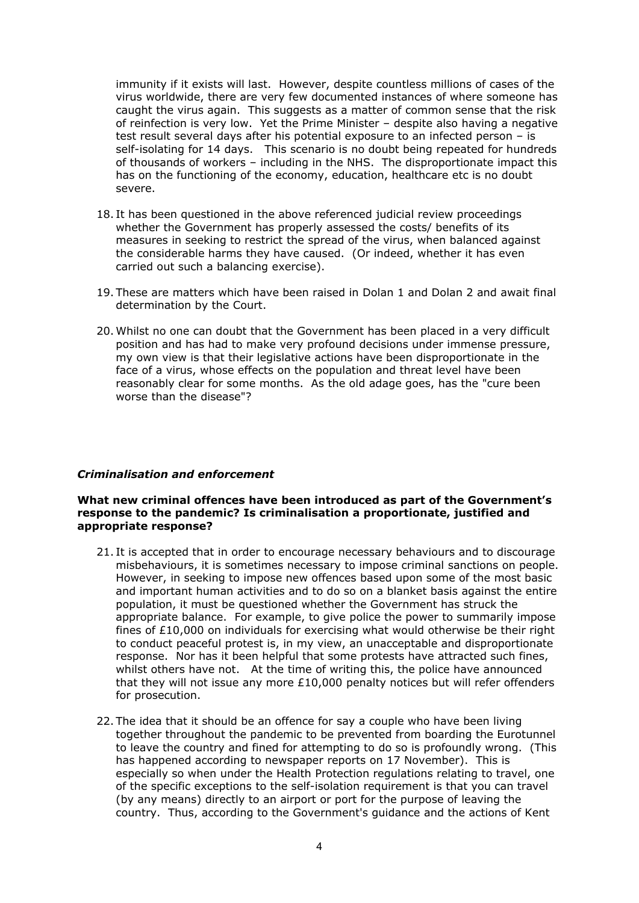immunity if it exists will last. However, despite countless millions of cases of the virus worldwide, there are very few documented instances of where someone has caught the virus again. This suggests as a matter of common sense that the risk of reinfection is very low. Yet the Prime Minister – despite also having a negative test result several days after his potential exposure to an infected person – is self-isolating for 14 days. This scenario is no doubt being repeated for hundreds of thousands of workers – including in the NHS. The disproportionate impact this has on the functioning of the economy, education, healthcare etc is no doubt severe.

- 18. It has been questioned in the above referenced judicial review proceedings whether the Government has properly assessed the costs/ benefits of its measures in seeking to restrict the spread of the virus, when balanced against the considerable harms they have caused. (Or indeed, whether it has even carried out such a balancing exercise).
- 19. These are matters which have been raised in Dolan 1 and Dolan 2 and await final determination by the Court.
- 20. Whilst no one can doubt that the Government has been placed in a very difficult position and has had to make very profound decisions under immense pressure, my own view is that their legislative actions have been disproportionate in the face of a virus, whose effects on the population and threat level have been reasonably clear for some months. As the old adage goes, has the "cure been worse than the disease"?

#### *Criminalisation and enforcement*

#### **What new criminal offences have been introduced as part of the Government's response to the pandemic? Is criminalisation a proportionate, justified and appropriate response?**

- 21. It is accepted that in order to encourage necessary behaviours and to discourage misbehaviours, it is sometimes necessary to impose criminal sanctions on people. However, in seeking to impose new offences based upon some of the most basic and important human activities and to do so on a blanket basis against the entire population, it must be questioned whether the Government has struck the appropriate balance. For example, to give police the power to summarily impose fines of £10,000 on individuals for exercising what would otherwise be their right to conduct peaceful protest is, in my view, an unacceptable and disproportionate response. Nor has it been helpful that some protests have attracted such fines, whilst others have not. At the time of writing this, the police have announced that they will not issue any more  $£10,000$  penalty notices but will refer offenders for prosecution.
- 22. The idea that it should be an offence for say a couple who have been living together throughout the pandemic to be prevented from boarding the Eurotunnel to leave the country and fined for attempting to do so is profoundly wrong. (This has happened according to newspaper reports on 17 November). This is especially so when under the Health Protection regulations relating to travel, one of the specific exceptions to the self-isolation requirement is that you can travel (by any means) directly to an airport or port for the purpose of leaving the country. Thus, according to the Government's guidance and the actions of Kent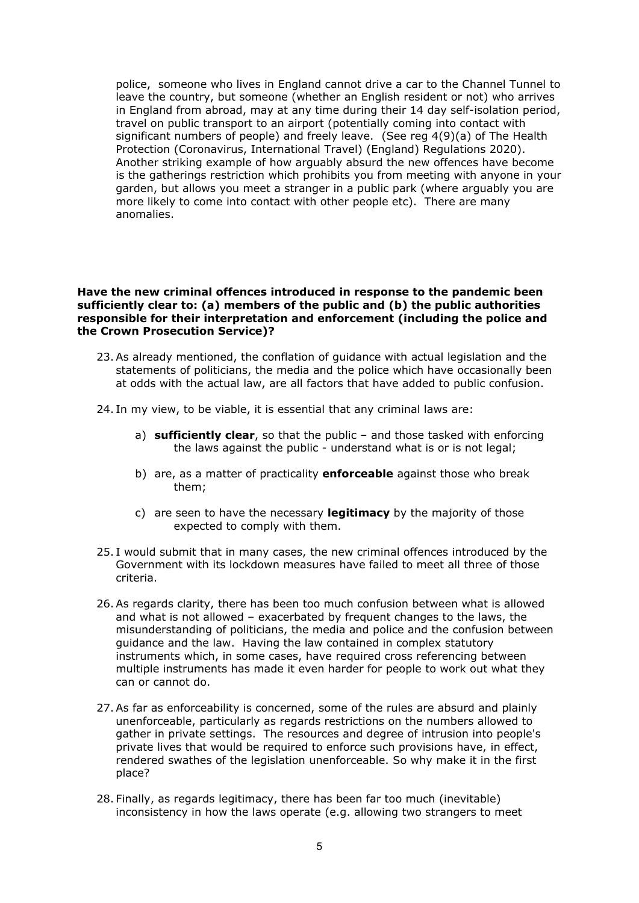police, someone who lives in England cannot drive a car to the Channel Tunnel to leave the country, but someone (whether an English resident or not) who arrives in England from abroad, may at any time during their 14 day self-isolation period, travel on public transport to an airport (potentially coming into contact with significant numbers of people) and freely leave. (See reg 4(9)(a) of The Health Protection (Coronavirus, International Travel) (England) Regulations 2020). Another striking example of how arguably absurd the new offences have become is the gatherings restriction which prohibits you from meeting with anyone in your garden, but allows you meet a stranger in a public park (where arguably you are more likely to come into contact with other people etc). There are many anomalies.

### **Have the new criminal offences introduced in response to the pandemic been sufficiently clear to: (a) members of the public and (b) the public authorities responsible for their interpretation and enforcement (including the police and the Crown Prosecution Service)?**

- 23.As already mentioned, the conflation of guidance with actual legislation and the statements of politicians, the media and the police which have occasionally been at odds with the actual law, are all factors that have added to public confusion.
- 24. In my view, to be viable, it is essential that any criminal laws are:
	- a) **sufficiently clear**, so that the public and those tasked with enforcing the laws against the public - understand what is or is not legal;
	- b) are, as a matter of practicality **enforceable** against those who break them;
	- c) are seen to have the necessary **legitimacy** by the majority of those expected to comply with them.
- 25. I would submit that in many cases, the new criminal offences introduced by the Government with its lockdown measures have failed to meet all three of those criteria.
- 26.As regards clarity, there has been too much confusion between what is allowed and what is not allowed – exacerbated by frequent changes to the laws, the misunderstanding of politicians, the media and police and the confusion between guidance and the law. Having the law contained in complex statutory instruments which, in some cases, have required cross referencing between multiple instruments has made it even harder for people to work out what they can or cannot do.
- 27.As far as enforceability is concerned, some of the rules are absurd and plainly unenforceable, particularly as regards restrictions on the numbers allowed to gather in private settings. The resources and degree of intrusion into people's private lives that would be required to enforce such provisions have, in effect, rendered swathes of the legislation unenforceable. So why make it in the first place?
- 28. Finally, as regards legitimacy, there has been far too much (inevitable) inconsistency in how the laws operate (e.g. allowing two strangers to meet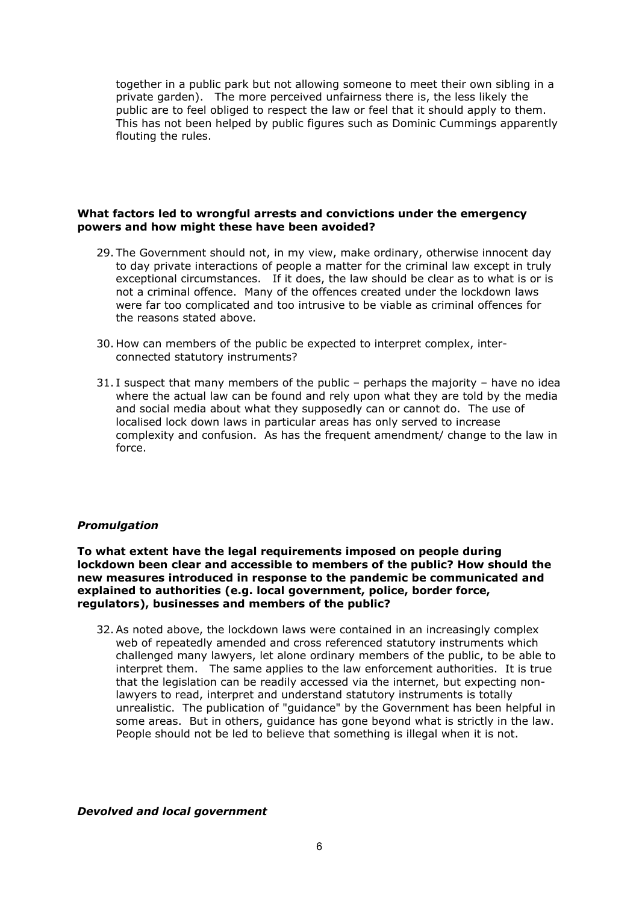together in a public park but not allowing someone to meet their own sibling in a private garden). The more perceived unfairness there is, the less likely the public are to feel obliged to respect the law or feel that it should apply to them. This has not been helped by public figures such as Dominic Cummings apparently flouting the rules.

# **What factors led to wrongful arrests and convictions under the emergency powers and how might these have been avoided?**

- 29. The Government should not, in my view, make ordinary, otherwise innocent day to day private interactions of people a matter for the criminal law except in truly exceptional circumstances. If it does, the law should be clear as to what is or is not a criminal offence. Many of the offences created under the lockdown laws were far too complicated and too intrusive to be viable as criminal offences for the reasons stated above.
- 30. How can members of the public be expected to interpret complex, interconnected statutory instruments?
- 31. I suspect that many members of the public perhaps the majority have no idea where the actual law can be found and rely upon what they are told by the media and social media about what they supposedly can or cannot do. The use of localised lock down laws in particular areas has only served to increase complexity and confusion. As has the frequent amendment/ change to the law in force.

# *Promulgation*

**To what extent have the legal requirements imposed on people during lockdown been clear and accessible to members of the public? How should the new measures introduced in response to the pandemic be communicated and explained to authorities (e.g. local government, police, border force, regulators), businesses and members of the public?**

32.As noted above, the lockdown laws were contained in an increasingly complex web of repeatedly amended and cross referenced statutory instruments which challenged many lawyers, let alone ordinary members of the public, to be able to interpret them. The same applies to the law enforcement authorities. It is true that the legislation can be readily accessed via the internet, but expecting nonlawyers to read, interpret and understand statutory instruments is totally unrealistic. The publication of "guidance" by the Government has been helpful in some areas. But in others, guidance has gone beyond what is strictly in the law. People should not be led to believe that something is illegal when it is not.

# *Devolved and local government*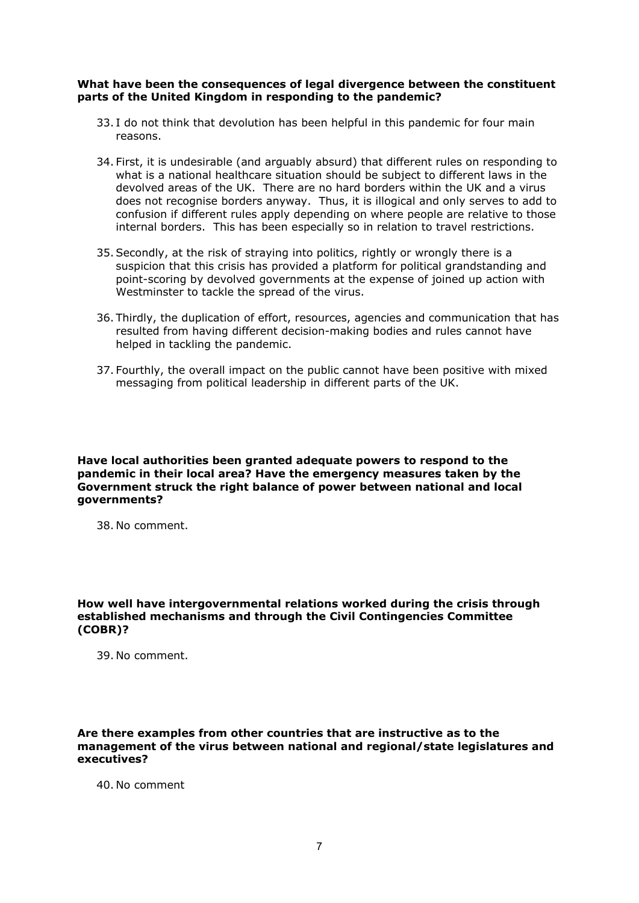# **What have been the consequences of legal divergence between the constituent parts of the United Kingdom in responding to the pandemic?**

- 33. I do not think that devolution has been helpful in this pandemic for four main reasons.
- 34. First, it is undesirable (and arguably absurd) that different rules on responding to what is a national healthcare situation should be subject to different laws in the devolved areas of the UK. There are no hard borders within the UK and a virus does not recognise borders anyway. Thus, it is illogical and only serves to add to confusion if different rules apply depending on where people are relative to those internal borders. This has been especially so in relation to travel restrictions.
- 35.Secondly, at the risk of straying into politics, rightly or wrongly there is a suspicion that this crisis has provided a platform for political grandstanding and point-scoring by devolved governments at the expense of joined up action with Westminster to tackle the spread of the virus.
- 36. Thirdly, the duplication of effort, resources, agencies and communication that has resulted from having different decision-making bodies and rules cannot have helped in tackling the pandemic.
- 37. Fourthly, the overall impact on the public cannot have been positive with mixed messaging from political leadership in different parts of the UK.

**Have local authorities been granted adequate powers to respond to the pandemic in their local area? Have the emergency measures taken by the Government struck the right balance of power between national and local governments?**

38. No comment.

**How well have intergovernmental relations worked during the crisis through established mechanisms and through the Civil Contingencies Committee (COBR)?**

39. No comment.

**Are there examples from other countries that are instructive as to the management of the virus between national and regional/state legislatures and executives?**

40. No comment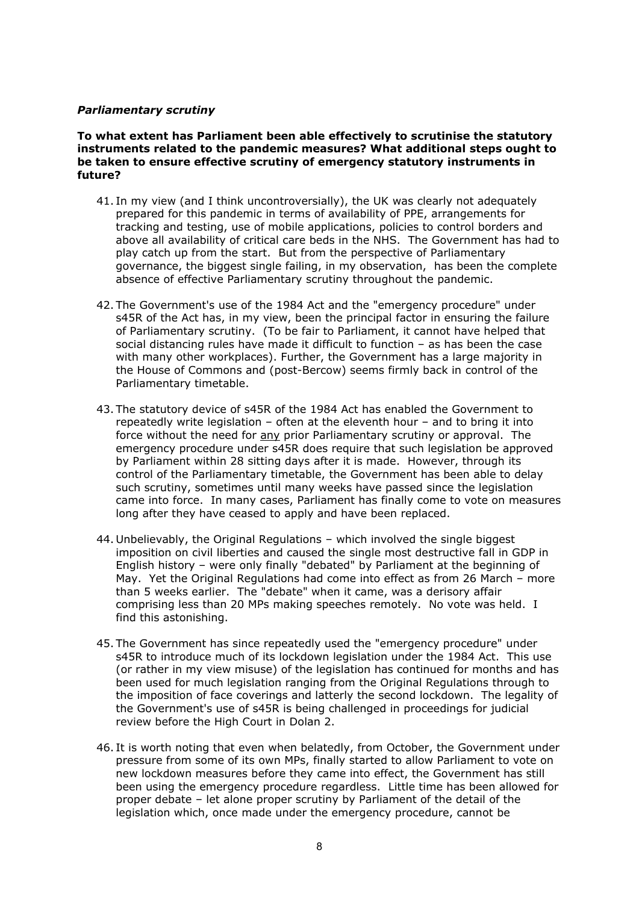# *Parliamentary scrutiny*

**To what extent has Parliament been able effectively to scrutinise the statutory instruments related to the pandemic measures? What additional steps ought to be taken to ensure effective scrutiny of emergency statutory instruments in future?**

- 41. In my view (and I think uncontroversially), the UK was clearly not adequately prepared for this pandemic in terms of availability of PPE, arrangements for tracking and testing, use of mobile applications, policies to control borders and above all availability of critical care beds in the NHS. The Government has had to play catch up from the start. But from the perspective of Parliamentary governance, the biggest single failing, in my observation, has been the complete absence of effective Parliamentary scrutiny throughout the pandemic.
- 42. The Government's use of the 1984 Act and the "emergency procedure" under s45R of the Act has, in my view, been the principal factor in ensuring the failure of Parliamentary scrutiny. (To be fair to Parliament, it cannot have helped that social distancing rules have made it difficult to function – as has been the case with many other workplaces). Further, the Government has a large majority in the House of Commons and (post-Bercow) seems firmly back in control of the Parliamentary timetable.
- 43. The statutory device of s45R of the 1984 Act has enabled the Government to repeatedly write legislation – often at the eleventh hour – and to bring it into force without the need for any prior Parliamentary scrutiny or approval. The emergency procedure under s45R does require that such legislation be approved by Parliament within 28 sitting days after it is made. However, through its control of the Parliamentary timetable, the Government has been able to delay such scrutiny, sometimes until many weeks have passed since the legislation came into force. In many cases, Parliament has finally come to vote on measures long after they have ceased to apply and have been replaced.
- 44. Unbelievably, the Original Regulations which involved the single biggest imposition on civil liberties and caused the single most destructive fall in GDP in English history – were only finally "debated" by Parliament at the beginning of May. Yet the Original Regulations had come into effect as from 26 March – more than 5 weeks earlier. The "debate" when it came, was a derisory affair comprising less than 20 MPs making speeches remotely. No vote was held. I find this astonishing.
- 45. The Government has since repeatedly used the "emergency procedure" under s45R to introduce much of its lockdown legislation under the 1984 Act. This use (or rather in my view misuse) of the legislation has continued for months and has been used for much legislation ranging from the Original Regulations through to the imposition of face coverings and latterly the second lockdown. The legality of the Government's use of s45R is being challenged in proceedings for judicial review before the High Court in Dolan 2.
- 46. It is worth noting that even when belatedly, from October, the Government under pressure from some of its own MPs, finally started to allow Parliament to vote on new lockdown measures before they came into effect, the Government has still been using the emergency procedure regardless. Little time has been allowed for proper debate – let alone proper scrutiny by Parliament of the detail of the legislation which, once made under the emergency procedure, cannot be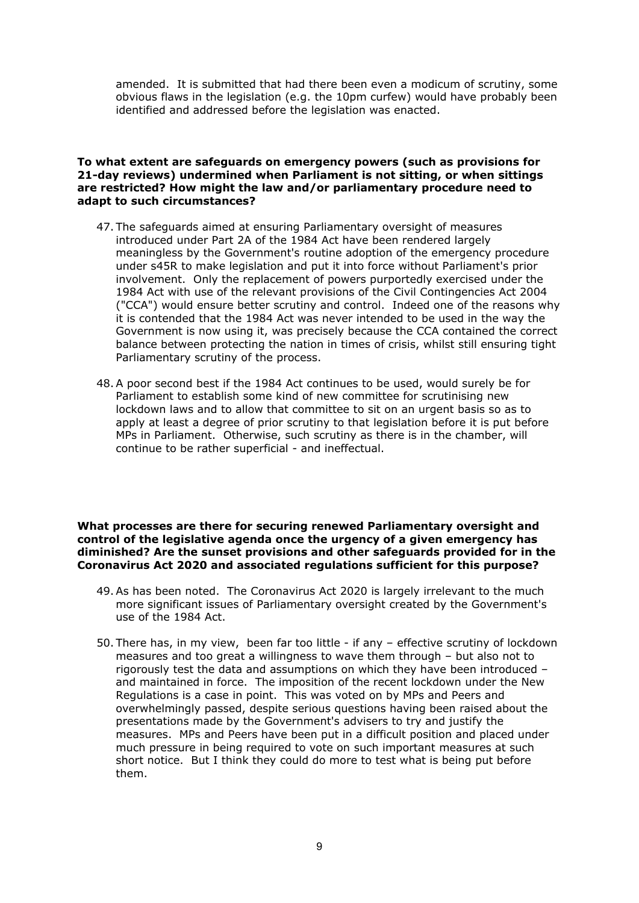amended. It is submitted that had there been even a modicum of scrutiny, some obvious flaws in the legislation (e.g. the 10pm curfew) would have probably been identified and addressed before the legislation was enacted.

### **To what extent are safeguards on emergency powers (such as provisions for 21-day reviews) undermined when Parliament is not sitting, or when sittings are restricted? How might the law and/or parliamentary procedure need to adapt to such circumstances?**

- 47. The safeguards aimed at ensuring Parliamentary oversight of measures introduced under Part 2A of the 1984 Act have been rendered largely meaningless by the Government's routine adoption of the emergency procedure under s45R to make legislation and put it into force without Parliament's prior involvement. Only the replacement of powers purportedly exercised under the 1984 Act with use of the relevant provisions of the Civil Contingencies Act 2004 ("CCA") would ensure better scrutiny and control. Indeed one of the reasons why it is contended that the 1984 Act was never intended to be used in the way the Government is now using it, was precisely because the CCA contained the correct balance between protecting the nation in times of crisis, whilst still ensuring tight Parliamentary scrutiny of the process.
- 48.A poor second best if the 1984 Act continues to be used, would surely be for Parliament to establish some kind of new committee for scrutinising new lockdown laws and to allow that committee to sit on an urgent basis so as to apply at least a degree of prior scrutiny to that legislation before it is put before MPs in Parliament. Otherwise, such scrutiny as there is in the chamber, will continue to be rather superficial - and ineffectual.

**What processes are there for securing renewed Parliamentary oversight and control of the legislative agenda once the urgency of a given emergency has diminished? Are the sunset provisions and other safeguards provided for in the Coronavirus Act 2020 and associated regulations sufficient for this purpose?**

- 49.As has been noted. The Coronavirus Act 2020 is largely irrelevant to the much more significant issues of Parliamentary oversight created by the Government's use of the 1984 Act.
- 50. There has, in my view, been far too little if any effective scrutiny of lockdown measures and too great a willingness to wave them through – but also not to rigorously test the data and assumptions on which they have been introduced – and maintained in force. The imposition of the recent lockdown under the New Regulations is a case in point. This was voted on by MPs and Peers and overwhelmingly passed, despite serious questions having been raised about the presentations made by the Government's advisers to try and justify the measures. MPs and Peers have been put in a difficult position and placed under much pressure in being required to vote on such important measures at such short notice. But I think they could do more to test what is being put before them.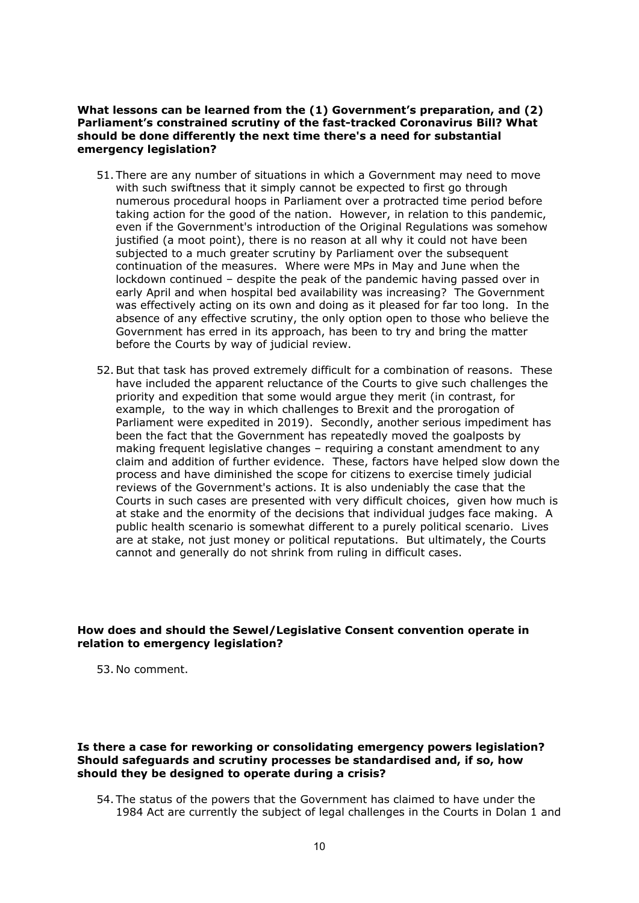**What lessons can be learned from the (1) Government's preparation, and (2) Parliament's constrained scrutiny of the fast-tracked Coronavirus Bill? What should be done differently the next time there's a need for substantial emergency legislation?**

- 51. There are any number of situations in which a Government may need to move with such swiftness that it simply cannot be expected to first go through numerous procedural hoops in Parliament over a protracted time period before taking action for the good of the nation. However, in relation to this pandemic, even if the Government's introduction of the Original Regulations was somehow justified (a moot point), there is no reason at all why it could not have been subjected to a much greater scrutiny by Parliament over the subsequent continuation of the measures. Where were MPs in May and June when the lockdown continued – despite the peak of the pandemic having passed over in early April and when hospital bed availability was increasing? The Government was effectively acting on its own and doing as it pleased for far too long. In the absence of any effective scrutiny, the only option open to those who believe the Government has erred in its approach, has been to try and bring the matter before the Courts by way of judicial review.
- 52.But that task has proved extremely difficult for a combination of reasons. These have included the apparent reluctance of the Courts to give such challenges the priority and expedition that some would argue they merit (in contrast, for example, to the way in which challenges to Brexit and the prorogation of Parliament were expedited in 2019). Secondly, another serious impediment has been the fact that the Government has repeatedly moved the goalposts by making frequent legislative changes – requiring a constant amendment to any claim and addition of further evidence. These, factors have helped slow down the process and have diminished the scope for citizens to exercise timely judicial reviews of the Government's actions. It is also undeniably the case that the Courts in such cases are presented with very difficult choices, given how much is at stake and the enormity of the decisions that individual judges face making. A public health scenario is somewhat different to a purely political scenario. Lives are at stake, not just money or political reputations. But ultimately, the Courts cannot and generally do not shrink from ruling in difficult cases.

# **How does and should the Sewel/Legislative Consent convention operate in relation to emergency legislation?**

53. No comment.

### **Is there a case for reworking or consolidating emergency powers legislation? Should safeguards and scrutiny processes be standardised and, if so, how should they be designed to operate during a crisis?**

54. The status of the powers that the Government has claimed to have under the 1984 Act are currently the subject of legal challenges in the Courts in Dolan 1 and